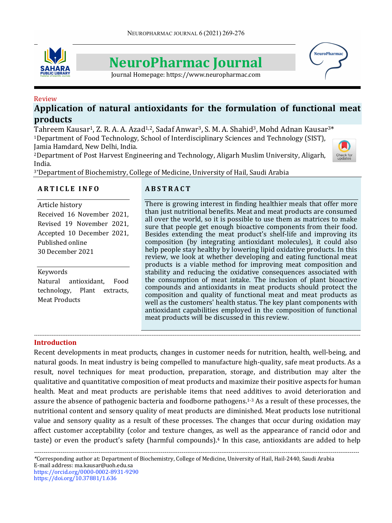

# **NeuroPharmac Journal**

Journal Homepage: https://www.neuropharmac.com

# Review Application of natural antioxidants for the formulation of functional meat **products**

Tahreem Kausar<sup>1</sup>, Z. R. A. A. Azad<sup>1,2</sup>, Sadaf Anwar<sup>3</sup>, S. M. A. Shahid<sup>3</sup>, Mohd Adnan Kausar<sup>3\*</sup> <sup>1</sup>Department of Food Technology, School of Interdisciplinary Sciences and Technology (SIST), Jamia Hamdard, New Delhi, India.

<sup>2</sup>Department of Post Harvest Engineering and Technology, Aligarh Muslim University, Aligarh, India. 



**NeuroPharma** 

<sup>3\*</sup>Department of Biochemistry, College of Medicine, University of Hail, Saudi Arabia

# **A R T I C L E I N F O**

Article history Received 16 November 2021, Revised 19 November 2021, Accepted 10 December 2021, Published online 30 December 2021

## Keywords

Natural antioxidant, Food technology, Plant extracts, **Meat Products** 

# **A B S T R A C T**

There is growing interest in finding healthier meals that offer more than just nutritional benefits. Meat and meat products are consumed all over the world, so it is possible to use them as matrices to make sure that people get enough bioactive components from their food. Besides extending the meat product's shelf-life and improving its composition (by integrating antioxidant molecules), it could also help people stay healthy by lowering lipid oxidative products. In this review, we look at whether developing and eating functional meat products is a viable method for improving meat composition and stability and reducing the oxidative consequences associated with the consumption of meat intake. The inclusion of plant bioactive compounds and antioxidants in meat products should protect the composition and quality of functional meat and meat products as well as the customers' health status. The key plant components with antioxidant capabilities employed in the composition of functional meat products will be discussed in this review.

## **Introduction**

Recent developments in meat products, changes in customer needs for nutrition, health, well-being, and natural goods. In meat industry is being compelled to manufacture high-quality, safe meat products. As a result, novel techniques for meat production, preparation, storage, and distribution may alter the qualitative and quantitative composition of meat products and maximize their positive aspects for human health. Meat and meat products are perishable items that need additives to avoid deterioration and assure the absence of pathogenic bacteria and foodborne pathogens.<sup>1-3</sup> As a result of these processes, the nutritional content and sensory quality of meat products are diminished. Meat products lose nutritional value and sensory quality as a result of these processes. The changes that occur during oxidation may affect customer acceptability (color and texture changes, as well as the appearance of rancid odor and taste) or even the product's safety (harmful compounds).<sup>4</sup> In this case, antioxidants are added to help

------------------------------------------------------------------------------------------------------------------------------------------------------------------------------------------

*---------------------------------------------------------------------------------------------------------------------------------------------------------------------------- \**Corresponding author at: Department of Biochemistry, College of Medicine, University of Hail, Hail-2440, Saudi Arabia E-mail address: ma.kausar@uoh.edu.sa

https://orcid.org/0000-0002-8931-9290 https://doi.org/10.37881/1.636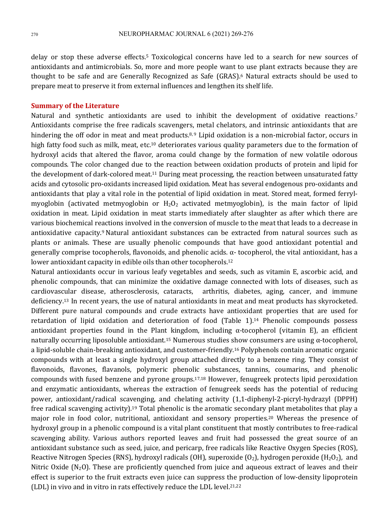delay or stop these adverse effects.<sup>5</sup> Toxicological concerns have led to a search for new sources of antioxidants and antimicrobials. So, more and more people want to use plant extracts because they are thought to be safe and are Generally Recognized as Safe (GRAS).<sup>6</sup> Natural extracts should be used to prepare meat to preserve it from external influences and lengthen its shelf life.

#### **Summary of the Literature**

Natural and synthetic antioxidants are used to inhibit the development of oxidative reactions.<sup>7</sup> Antioxidants comprise the free radicals scavengers, metal chelators, and intrinsic antioxidants that are hindering the off odor in meat and meat products.<sup>8, 9</sup> Lipid oxidation is a non-microbial factor, occurs in high fatty food such as milk, meat, etc.<sup>10</sup> deteriorates various quality parameters due to the formation of hydroxyl acids that altered the flavor, aroma could change by the formation of new volatile odorous compounds. The color changed due to the reaction between oxidation products of protein and lipid for the development of dark-colored meat.<sup>11</sup> During meat processing, the reaction between unsaturated fatty acids and cytosolic pro-oxidants increased lipid oxidation. Meat has several endogenous pro-oxidants and antioxidants that play a vital role in the potential of lipid oxidation in meat. Stored meat, formed ferrylmyoglobin (activated metmyoglobin or  $H_2O_2$  activated metmyoglobin), is the main factor of lipid oxidation in meat. Lipid oxidation in meat starts immediately after slaughter as after which there are various biochemical reactions involved in the conversion of muscle to the meat that leads to a decrease in antioxidative capacity.<sup>9</sup> Natural antioxidant substances can be extracted from natural sources such as plants or animals. These are usually phenolic compounds that have good antioxidant potential and generally comprise tocopherols, flavonoids, and phenolic acids.  $\alpha$ - tocopherol, the vital antioxidant, has a lower antioxidant capacity in edible oils than other tocopherols.<sup>12</sup>

Natural antioxidants occur in various leafy vegetables and seeds, such as vitamin E, ascorbic acid, and phenolic compounds, that can minimize the oxidative damage connected with lots of diseases, such as cardiovascular disease, atherosclerosis, cataracts, arthritis, diabetes, aging, cancer, and immune deficiency.<sup>13</sup> In recent years, the use of natural antioxidants in meat and meat products has skyrocketed. Different pure natural compounds and crude extracts have antioxidant properties that are used for retardation of lipid oxidation and deterioration of food (Table 1).<sup>14</sup> Phenolic compounds possess antioxidant properties found in the Plant kingdom, including  $\alpha$ -tocopherol (vitamin E), an efficient naturally occurring liposoluble antioxidant.<sup>15</sup> Numerous studies show consumers are using  $\alpha$ -tocopherol, a lipid-soluble chain-breaking antioxidant, and customer-friendly.<sup>16</sup> Polyphenols contain aromatic organic compounds with at least a single hydroxyl group attached directly to a benzene ring. They consist of flavonoids, flavones, flavanols, polymeric phenolic substances, tannins, coumarins, and phenolic compounds with fused benzene and pyrone groups.<sup>17,18</sup> However, fenugreek protects lipid peroxidation and enzymatic antioxidants, whereas the extraction of fenugreek seeds has the potential of reducing power, antioxidant/radical scavenging, and chelating activity  $(1,1-diphenyl-2-picryl-hydrozyl$  (DPPH) free radical scavenging activity).<sup>19</sup> Total phenolic is the aromatic secondary plant metabolites that play a major role in food color, nutritional, antioxidant and sensory properties.<sup>20</sup> Whereas the presence of hydroxyl group in a phenolic compound is a vital plant constituent that mostly contributes to free-radical scavenging ability. Various authors reported leaves and fruit had possessed the great source of an antioxidant substance such as seed, juice, and pericarp, free radicals like Reactive Oxygen Species (ROS), Reactive Nitrogen Species (RNS), hydroxyl radicals (OH), superoxide  $(0_2)$ , hydrogen peroxide (H<sub>2</sub>O<sub>2</sub>), and Nitric Oxide  $(N_2O)$ . These are proficiently quenched from juice and aqueous extract of leaves and their effect is superior to the fruit extracts even juice can suppress the production of low-density lipoprotein (LDL) in vivo and in vitro in rats effectively reduce the LDL level.<sup>21,22</sup>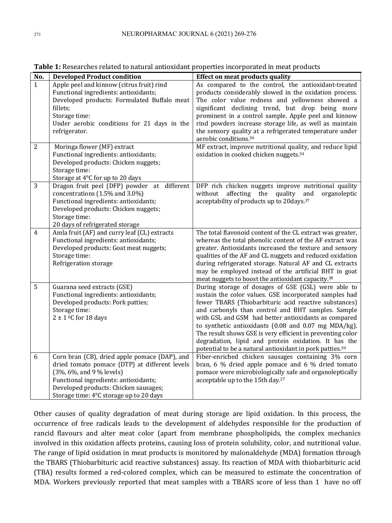| No.            | <b>Developed Product condition</b>                                                                                                                                                                                                                      | <b>Effect on meat products quality</b>                                                                                                                                                                                                                                                                                                                                                                                                                                                                                                     |
|----------------|---------------------------------------------------------------------------------------------------------------------------------------------------------------------------------------------------------------------------------------------------------|--------------------------------------------------------------------------------------------------------------------------------------------------------------------------------------------------------------------------------------------------------------------------------------------------------------------------------------------------------------------------------------------------------------------------------------------------------------------------------------------------------------------------------------------|
| $\mathbf{1}$   | Apple peel and kinnow (citrus fruit) rind<br>Functional ingredients: antioxidants;<br>Developed products: Formulated Buffalo meat<br>fillets;<br>Storage time:<br>Under aerobic conditions for 21 days in the<br>refrigerator.                          | As compared to the control, the antioxidant-treated<br>products considerably slowed in the oxidation process.<br>The color value redness and yellowness showed a<br>significant declining trend, but drop being more<br>prominent in a control sample. Apple peel and kinnow<br>rind powders increase storage life, as well as maintain<br>the sensory quality at a refrigerated temperature under<br>aerobic conditions. <sup>36</sup>                                                                                                    |
| $\overline{2}$ | Moringa flower (MF) extract<br>Functional ingredients: antioxidants;<br>Developed products: Chicken nuggets;<br>Storage time:<br>Storage at 4°C for up to 20 days                                                                                       | MF extract, improve nutritional quality, and reduce lipid<br>oxidation in cooked chicken nuggets. <sup>34</sup>                                                                                                                                                                                                                                                                                                                                                                                                                            |
| 3              | Dragon fruit peel (DFP) powder at different<br>concentrations (1.5% and 3.0%)<br>Functional ingredients: antioxidants;<br>Developed products: Chicken nuggets;<br>Storage time:<br>20 days of refrigerated storage                                      | DFP rich chicken nuggets improve nutritional quality<br>quality<br>without<br>affecting<br>the<br>and<br>organoleptic<br>acceptability of products up to 20days. <sup>37</sup>                                                                                                                                                                                                                                                                                                                                                             |
| 4              | Amla fruit (AF) and curry leaf (CL) extracts<br>Functional ingredients: antioxidants;<br>Developed products: Goat meat nuggets;<br>Storage time:<br>Refrigeration storage                                                                               | The total flavonoid content of the CL extract was greater,<br>whereas the total phenolic content of the AF extract was<br>greater. Antioxidants increased the texture and sensory<br>qualities of the AF and CL nuggets and reduced oxidation<br>during refrigerated storage. Natural AF and CL extracts<br>may be employed instead of the artificial BHT in goat<br>meat nuggets to boost the antioxidant capacity. <sup>38</sup>                                                                                                         |
| 5              | Guarana seed extracts (GSE)<br>Functional ingredients: antioxidants;<br>Developed products: Pork patties;<br>Storage time:<br>$2 \pm 1$ °C for 18 days                                                                                                  | During storage of dosages of GSE (GSL) were able to<br>sustain the color values. GSE incorporated samples had<br>fewer TBARS (Thiobarbituric acid reactive substances)<br>and carbonyls than control and BHT samples. Sample<br>with GSL and GSM had better antioxidants as compared<br>to synthetic antioxidants (0.08 and 0.07 mg MDA/kg).<br>The result shows GSE is very efficient in preventing color<br>degradation, lipid and protein oxidation. It has the<br>potential to be a natural antioxidant in pork patties. <sup>39</sup> |
| 6              | Corn bran (CB), dried apple pomace (DAP), and<br>dried tomato pomace (DTP) at different levels<br>(3%, 6%, and 9 % levels)<br>Functional ingredients: antioxidants;<br>Developed products: Chicken sausages;<br>Storage time: 4°C storage up to 20 days | Fiber-enriched chicken sausages containing 3% corn<br>bran, 6 % dried apple pomace and 6 % dried tomato<br>pomace were microbiologically safe and organoleptically<br>acceptable up to the 15th day. <sup>27</sup>                                                                                                                                                                                                                                                                                                                         |

Table 1: Researches related to natural antioxidant properties incorporated in meat products

Other causes of quality degradation of meat during storage are lipid oxidation. In this process, the occurrence of free radicals leads to the development of aldehydes responsible for the production of rancid flavours and alter meat color (apart from membrane phospholipids, the complex mechanics involved in this oxidation affects proteins, causing loss of protein solubility, color, and nutritional value. The range of lipid oxidation in meat products is monitored by malonaldehyde (MDA) formation through the TBARS (Thiobarbituric acid reactive substances) assay. Its reaction of MDA with thiobarbituric acid (TBA) results formed a red-colored complex, which can be measured to estimate the concentration of MDA. Workers previously reported that meat samples with a TBARS score of less than 1 have no off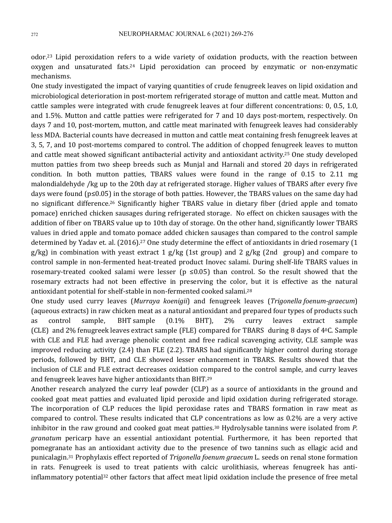odor.<sup>23</sup> Lipid peroxidation refers to a wide variety of oxidation products, with the reaction between oxygen and unsaturated fats.<sup>24</sup> Lipid peroxidation can proceed by enzymatic or non-enzymatic mechanisms. 

One study investigated the impact of varying quantities of crude fenugreek leaves on lipid oxidation and microbiological deterioration in post-mortem refrigerated storage of mutton and cattle meat. Mutton and cattle samples were integrated with crude fenugreek leaves at four different concentrations: 0, 0.5, 1.0, and 1.5%. Mutton and cattle patties were refrigerated for 7 and 10 days post-mortem, respectively. On days 7 and 10, post-mortem, mutton, and cattle meat marinated with fenugreek leaves had considerably less MDA. Bacterial counts have decreased in mutton and cattle meat containing fresh fenugreek leaves at 3, 5, 7, and 10 post-mortems compared to control. The addition of chopped fenugreek leaves to mutton and cattle meat showed significant antibacterial activity and antioxidant activity.<sup>25</sup> One study developed mutton patties from two sheep breeds such as Munjal and Harnali and stored 20 days in refrigerated condition. In both mutton patties, TBARS values were found in the range of 0.15 to 2.11 mg malondialdehyde /kg up to the 20th day at refrigerated storage. Higher values of TBARS after every five days were found  $(p \le 0.05)$  in the storage of both patties. However, the TBARS values on the same day had no significant difference.<sup>26</sup> Significantly higher TBARS value in dietary fiber (dried apple and tomato pomace) enriched chicken sausages during refrigerated storage. No effect on chicken sausages with the addition of fiber on TBARS value up to 10th day of storage. On the other hand, significantly lower TBARS values in dried apple and tomato pomace added chicken sausages than compared to the control sample determined by Yadav et. al. (2016).<sup>27</sup> One study determine the effect of antioxidants in dried rosemary (1  $g/kg$ ) in combination with yeast extract 1  $g/kg$  (1st group) and 2  $g/kg$  (2nd group) and compare to control sample in non-fermented heat-treated product Inovec salami. During shelf-life TBARS values in rosemary-treated cooked salami were lesser ( $p \le 0.05$ ) than control. So the result showed that the rosemary extracts had not been effective in preserving the color, but it is effective as the natural antioxidant potential for shelf-stable in non-fermented cooked salami.<sup>28</sup>

One study used curry leaves (*Murraya koenigii*) and fenugreek leaves (*Trigonella foenum-graecum*) (aqueous extracts) in raw chicken meat as a natural antioxidant and prepared four types of products such as control sample, BHT sample (0.1% BHT), 2% curry leaves extract sample (CLE) and 2% fenugreek leaves extract sample (FLE) compared for TBARS during 8 days of  $4^{\circ}$ C. Sample with CLE and FLE had average phenolic content and free radical scavenging activity, CLE sample was improved reducing activity  $(2.4)$  than FLE  $(2.2)$ . TBARS had significantly higher control during storage periods, followed by BHT, and CLE showed lesser enhancement in TBARS. Results showed that the inclusion of CLE and FLE extract decreases oxidation compared to the control sample, and curry leaves and fenugreek leaves have higher antioxidants than BHT.<sup>29</sup>

Another research analyzed the curry leaf powder (CLP) as a source of antioxidants in the ground and cooked goat meat patties and evaluated lipid peroxide and lipid oxidation during refrigerated storage. The incorporation of CLP reduces the lipid peroxidase rates and TBARS formation in raw meat as compared to control. These results indicated that CLP concentrations as low as 0.2% are a very active inhibitor in the raw ground and cooked goat meat patties.<sup>30</sup> Hydrolysable tannins were isolated from P. *granatum* pericarp have an essential antioxidant potential. Furthermore, it has been reported that pomegranate has an antioxidant activity due to the presence of two tannins such as ellagic acid and punicalagin.<sup>31</sup> Prophylaxis effect reported of *Trigonella foenum graecum* L. seeds on renal stone formation in rats. Fenugreek is used to treat patients with calcic urolithiasis, whereas fenugreek has antiinflammatory potential<sup>32</sup> other factors that affect meat lipid oxidation include the presence of free metal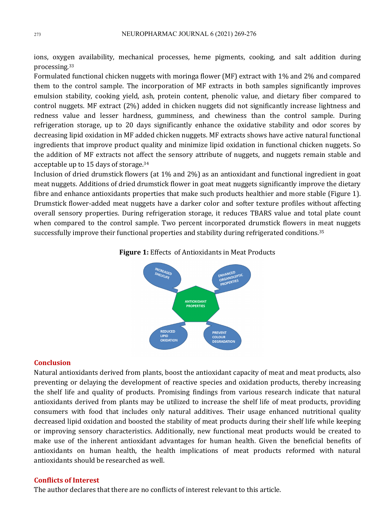ions, oxygen availability, mechanical processes, heme pigments, cooking, and salt addition during processing. 33

Formulated functional chicken nuggets with moringa flower (MF) extract with 1% and 2% and compared them to the control sample. The incorporation of MF extracts in both samples significantly improves emulsion stability, cooking yield, ash, protein content, phenolic value, and dietary fiber compared to control nuggets. MF extract (2%) added in chicken nuggets did not significantly increase lightness and redness value and lesser hardness, gumminess, and chewiness than the control sample. During refrigeration storage, up to 20 days significantly enhance the oxidative stability and odor scores by decreasing lipid oxidation in MF added chicken nuggets. MF extracts shows have active natural functional ingredients that improve product quality and minimize lipid oxidation in functional chicken nuggets. So the addition of MF extracts not affect the sensory attribute of nuggets, and nuggets remain stable and acceptable up to 15 days of storage.<sup>34</sup>

Inclusion of dried drumstick flowers (at 1% and 2%) as an antioxidant and functional ingredient in goat meat nuggets. Additions of dried drumstick flower in goat meat nuggets significantly improve the dietary fibre and enhance antioxidants properties that make such products healthier and more stable (Figure 1). Drumstick flower-added meat nuggets have a darker color and softer texture profiles without affecting overall sensory properties. During refrigeration storage, it reduces TBARS value and total plate count when compared to the control sample. Two percent incorporated drumstick flowers in meat nuggets successfully improve their functional properties and stability during refrigerated conditions.<sup>35</sup>

#### **Figure 1:** Effects of Antioxidants in Meat Products



#### **Conclusion**

Natural antioxidants derived from plants, boost the antioxidant capacity of meat and meat products, also preventing or delaying the development of reactive species and oxidation products, thereby increasing the shelf life and quality of products. Promising findings from various research indicate that natural antioxidants derived from plants may be utilized to increase the shelf life of meat products, providing consumers with food that includes only natural additives. Their usage enhanced nutritional quality decreased lipid oxidation and boosted the stability of meat products during their shelf life while keeping or improving sensory characteristics. Additionally, new functional meat products would be created to make use of the inherent antioxidant advantages for human health. Given the beneficial benefits of antioxidants on human health, the health implications of meat products reformed with natural antioxidants should be researched as well.

## **Conflicts of Interest**

The author declares that there are no conflicts of interest relevant to this article.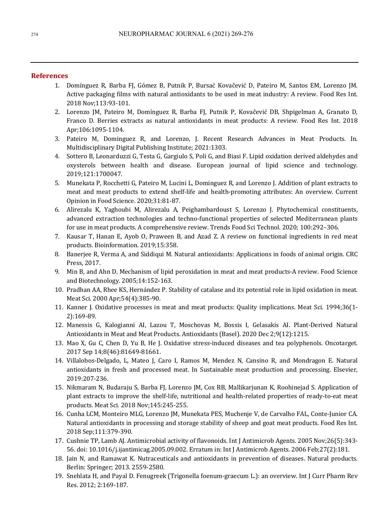#### **References**

- 1. Domínguez R, Barba FI, Gómez B, Putnik P, Bursać Kovačević D, Pateiro M, Santos EM, Lorenzo JM. Active packaging films with natural antioxidants to be used in meat industry: A review. Food Res Int. 2018 Nov;113:93-101.
- 2. Lorenzo JM, Pateiro M, Domínguez R, Barba FJ, Putnik P, Kovačević DB, Shpigelman A, Granato D, Franco D. Berries extracts as natural antioxidants in meat products: A review. Food Res Int. 2018 Apr;106:1095-1104.
- 3. Pateiro M, Dominguez R, and Lorenzo, J. Recent Research Advances in Meat Products. In. Multidisciplinary Digital Publishing Institute; 2021:1303.
- 4. Sottero B, Leonarduzzi G, Testa G, Gargiulo S, Poli G, and Biasi F. Lipid oxidation derived aldehydes and oxysterols between health and disease. European journal of lipid science and technology. 2019;121:1700047.
- 5. Munekata P, Rocchetti G, Pateiro M, Lucini L, Dominguez R, and Lorenzo J. Addition of plant extracts to meat and meat products to extend shelf-life and health-promoting attributes: An overview. Current Opinion in Food Science. 2020;31:81-87.
- 6. Alirezalu K, Yaghoubi M, Alirezalu A, Peighambardoust S, Lorenzo J. Phytochemical constituents, advanced extraction technologies and techno-functional properties of selected Mediterranean plants for use in meat products. A comprehensive review. Trends Food Sci Technol. 2020; 100:292-306.
- 7. Kausar T, Hanan E, Ayob O, Praween B, and Azad Z. A review on functional ingredients in red meat products. Bioinformation. 2019;15:358.
- 8. Banerjee R, Verma A, and Siddiqui M. Natural antioxidants: Applications in foods of animal origin. CRC Press, 2017.
- 9. Min B, and Ahn D. Mechanism of lipid peroxidation in meat and meat products-A review. Food Science and Biotechnology. 2005;14:152-163.
- 10. Pradhan AA, Rhee KS, Hernández P. Stability of catalase and its potential role in lipid oxidation in meat. Meat Sci. 2000 Apr;54(4):385-90.
- 11. Kanner J. Oxidative processes in meat and meat products: Quality implications. Meat Sci. 1994;36(1-2):169-89.
- 12. Manessis G, Kalogianni AI, Lazou T, Moschovas M, Bossis I, Gelasakis AI. Plant-Derived Natural Antioxidants in Meat and Meat Products. Antioxidants (Basel). 2020 Dec 2;9(12):1215.
- 13. Mao X, Gu C, Chen D, Yu B, He J. Oxidative stress-induced diseases and tea polyphenols. Oncotarget. 2017 Sep 14;8(46):81649-81661.
- 14. Villalobos-Delgado, L, Mateo J, Caro I, Ramos M, Mendez N, Cansino R, and Mondragon E. Natural antioxidants in fresh and processed meat. In Sustainable meat production and processing. Elsevier, 2019:207-236.
- 15. Nikmaram N, Budaraju S, Barba FJ, Lorenzo JM, Cox RB, Mallikarjunan K, Roohinejad S. Application of plant extracts to improve the shelf-life, nutritional and health-related properties of ready-to-eat meat products. Meat Sci. 2018 Nov;145:245-255.
- 16. Cunha LCM, Monteiro MLG, Lorenzo JM, Munekata PES, Muchenje V, de Carvalho FAL, Conte-Junior CA. Natural antioxidants in processing and storage stability of sheep and goat meat products. Food Res Int. 2018 Sep;111:379-390.
- 17. Cushnie TP, Lamb AJ. Antimicrobial activity of flavonoids. Int J Antimicrob Agents. 2005 Nov;26(5):343-56. doi: 10.1016/j.ijantimicag.2005.09.002. Erratum in: Int J Antimicrob Agents. 2006 Feb;27(2):181.
- 18. Jain N, and Ramawat K. Nutraceuticals and antioxidants in prevention of diseases. Natural products. Berlin: Springer; 2013. 2559-2580.
- 19. Snehlata H, and Payal D. Fenugreek (Trigonella foenum-graecum L.): an overview. Int J Curr Pharm Rev Res. 2012; 2:169-187.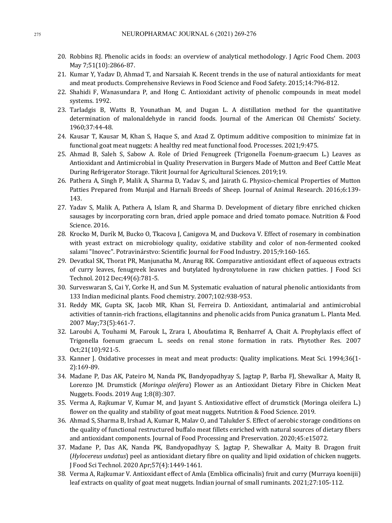- 20. Robbins RJ. Phenolic acids in foods: an overview of analytical methodology. J Agric Food Chem. 2003 May 7;51(10):2866-87.
- 21. Kumar Y, Yadav D, Ahmad T, and Narsaiah K. Recent trends in the use of natural antioxidants for meat and meat products. Comprehensive Reviews in Food Science and Food Safety. 2015;14:796-812.
- 22. Shahidi F, Wanasundara P, and Hong C. Antioxidant activity of phenolic compounds in meat model systems. 1992.
- 23. Tarladgis B, Watts B, Younathan M, and Dugan L. A distillation method for the quantitative determination of malonaldehyde in rancid foods. Journal of the American Oil Chemists' Society. 1960;37:44-48.
- 24. Kausar T, Kausar M, Khan S, Haque S, and Azad Z. Optimum additive composition to minimize fat in functional goat meat nuggets: A healthy red meat functional food. Processes. 2021;9:475.
- 25. Ahmad B, Saleh S, Sabow A. Role of Dried Fenugreek (Trigonella Foenum-graecum L.) Leaves as Antioxidant and Antimicrobial in Quality Preservation in Burgers Made of Mutton and Beef Cattle Meat During Refrigerator Storage. Tikrit Journal for Agricultural Sciences. 2019;19.
- 26. Pathera A, Singh P, Malik A, Sharma D, Yadav S, and Jairath G. Physico-chemical Properties of Mutton Patties Prepared from Munjal and Harnali Breeds of Sheep. Journal of Animal Research. 2016;6:139-143.
- 27. Yadav S, Malik A, Pathera A, Islam R, and Sharma D. Development of dietary fibre enriched chicken sausages by incorporating corn bran, dried apple pomace and dried tomato pomace. Nutrition & Food Science. 2016.
- 28. Krocko M, Durík M, Bucko O, Tkacova J, Canigova M, and Duckova V. Effect of rosemary in combination with yeast extract on microbiology quality, oxidative stability and color of non-fermented cooked salami "Inovec". Potravinárstvo: Scientific Journal for Food Industry. 2015;9:160-165.
- 29. Devatkal SK, Thorat PR, Manjunatha M, Anurag RK. Comparative antioxidant effect of aqueous extracts of curry leaves, fenugreek leaves and butylated hydroxytoluene in raw chicken patties. J Food Sci Technol. 2012 Dec;49(6):781-5.
- 30. Surveswaran S, Cai Y, Corke H, and Sun M. Systematic evaluation of natural phenolic antioxidants from 133 Indian medicinal plants. Food chemistry. 2007;102:938-953.
- 31. Reddy MK, Gupta SK, Jacob MR, Khan SI, Ferreira D. Antioxidant, antimalarial and antimicrobial activities of tannin-rich fractions, ellagitannins and phenolic acids from Punica granatum L. Planta Med. 2007 May;73(5):461-7.
- 32. Laroubi A, Touhami M, Farouk L, Zrara I, Aboufatima R, Benharref A, Chait A. Prophylaxis effect of Trigonella foenum graecum L. seeds on renal stone formation in rats. Phytother Res. 2007 Oct;21(10):921-5.
- 33. Kanner J. Oxidative processes in meat and meat products: Quality implications. Meat Sci. 1994;36(1-2):169-89.
- 34. Madane P, Das AK, Pateiro M, Nanda PK, Bandyopadhyay S, Jagtap P, Barba FJ, Shewalkar A, Maity B, Lorenzo JM. Drumstick (*Moringa oleifera*) Flower as an Antioxidant Dietary Fibre in Chicken Meat Nuggets. Foods. 2019 Aug 1;8(8):307.
- 35. Verma A, Rajkumar V, Kumar M, and Jayant S. Antioxidative effect of drumstick (Moringa oleifera L.) flower on the quality and stability of goat meat nuggets. Nutrition & Food Science. 2019.
- 36. Ahmad S, Sharma B, Irshad A, Kumar R, Malav O, and Talukder S. Effect of aerobic storage conditions on the quality of functional restructured buffalo meat fillets enriched with natural sources of dietary fibers and antioxidant components. Journal of Food Processing and Preservation. 2020;45:e15072.
- 37. Madane P, Das AK, Nanda PK, Bandyopadhyay S, Jagtap P, Shewalkar A, Maity B. Dragon fruit (*Hylocereus undatus*) peel as antioxidant dietary fibre on quality and lipid oxidation of chicken nuggets. J Food Sci Technol. 2020 Apr;57(4):1449-1461.
- 38. Verma A, Rajkumar V. Antioxidant effect of Amla (Emblica officinalis) fruit and curry (Murraya koenijii) leaf extracts on quality of goat meat nuggets. Indian journal of small ruminants. 2021;27:105-112.